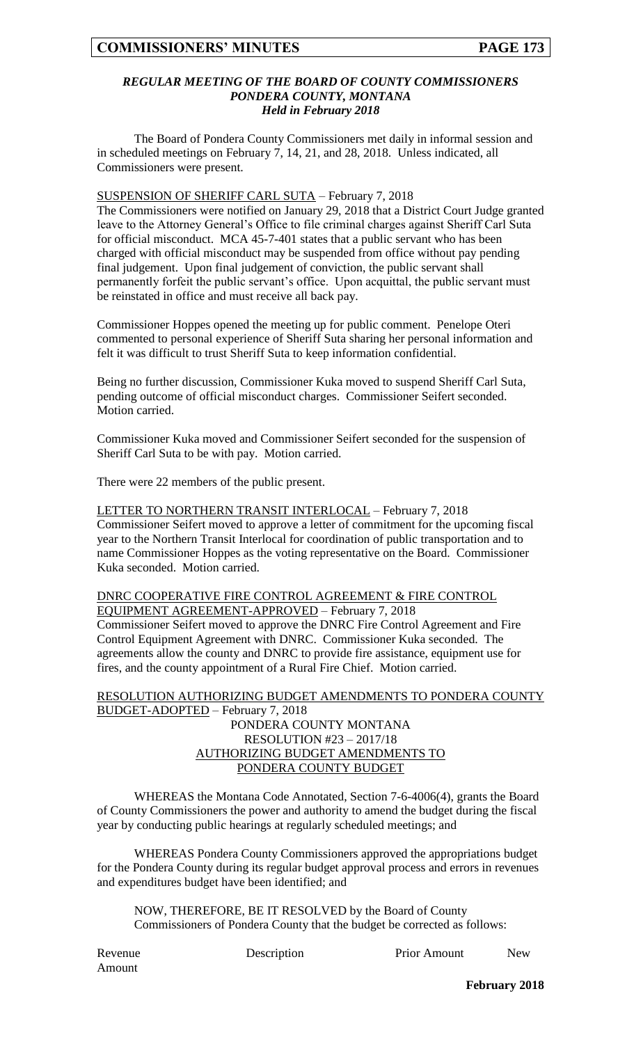#### *REGULAR MEETING OF THE BOARD OF COUNTY COMMISSIONERS PONDERA COUNTY, MONTANA Held in February 2018*

The Board of Pondera County Commissioners met daily in informal session and in scheduled meetings on February 7, 14, 21, and 28, 2018. Unless indicated, all Commissioners were present.

SUSPENSION OF SHERIFF CARL SUTA – February 7, 2018

The Commissioners were notified on January 29, 2018 that a District Court Judge granted leave to the Attorney General's Office to file criminal charges against Sheriff Carl Suta for official misconduct. MCA 45-7-401 states that a public servant who has been charged with official misconduct may be suspended from office without pay pending final judgement. Upon final judgement of conviction, the public servant shall permanently forfeit the public servant's office. Upon acquittal, the public servant must be reinstated in office and must receive all back pay.

Commissioner Hoppes opened the meeting up for public comment. Penelope Oteri commented to personal experience of Sheriff Suta sharing her personal information and felt it was difficult to trust Sheriff Suta to keep information confidential.

Being no further discussion, Commissioner Kuka moved to suspend Sheriff Carl Suta, pending outcome of official misconduct charges. Commissioner Seifert seconded. Motion carried.

Commissioner Kuka moved and Commissioner Seifert seconded for the suspension of Sheriff Carl Suta to be with pay. Motion carried.

There were 22 members of the public present.

LETTER TO NORTHERN TRANSIT INTERLOCAL - February 7, 2018 Commissioner Seifert moved to approve a letter of commitment for the upcoming fiscal year to the Northern Transit Interlocal for coordination of public transportation and to name Commissioner Hoppes as the voting representative on the Board. Commissioner Kuka seconded. Motion carried.

#### DNRC COOPERATIVE FIRE CONTROL AGREEMENT & FIRE CONTROL EQUIPMENT AGREEMENT-APPROVED – February 7, 2018

Commissioner Seifert moved to approve the DNRC Fire Control Agreement and Fire Control Equipment Agreement with DNRC. Commissioner Kuka seconded. The agreements allow the county and DNRC to provide fire assistance, equipment use for fires, and the county appointment of a Rural Fire Chief. Motion carried.

#### RESOLUTION AUTHORIZING BUDGET AMENDMENTS TO PONDERA COUNTY BUDGET-ADOPTED – February 7, 2018 PONDERA COUNTY MONTANA RESOLUTION #23 – 2017/18 AUTHORIZING BUDGET AMENDMENTS TO PONDERA COUNTY BUDGET

WHEREAS the Montana Code Annotated, Section 7-6-4006(4), grants the Board of County Commissioners the power and authority to amend the budget during the fiscal year by conducting public hearings at regularly scheduled meetings; and

WHEREAS Pondera County Commissioners approved the appropriations budget for the Pondera County during its regular budget approval process and errors in revenues and expenditures budget have been identified; and

NOW, THEREFORE, BE IT RESOLVED by the Board of County Commissioners of Pondera County that the budget be corrected as follows:

Amount

Revenue Description Prior Amount New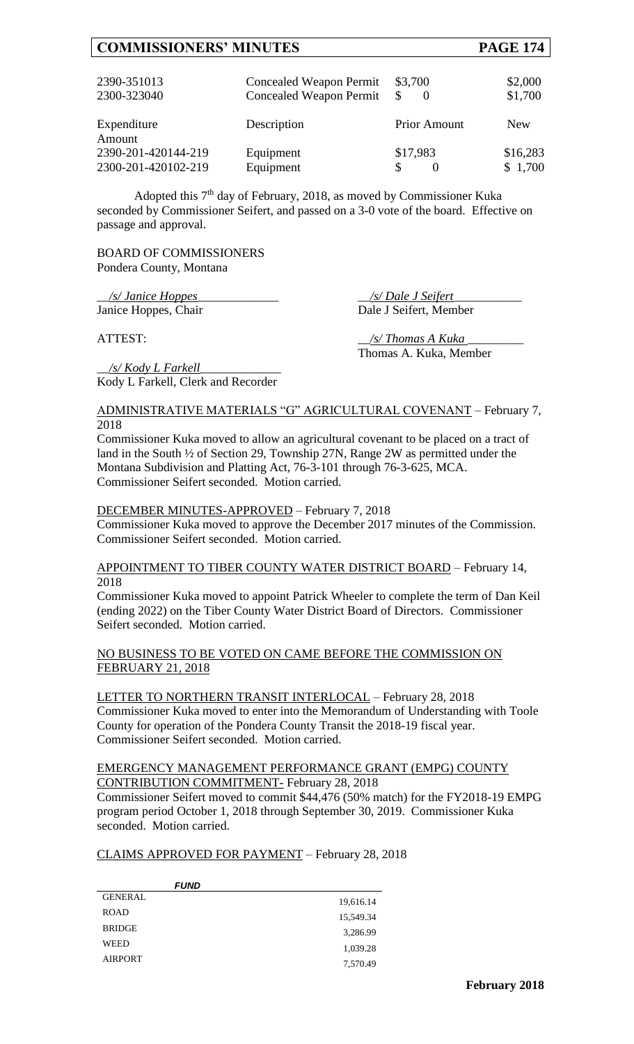# **COMMISSIONERS' MINUTES PAGE 174**

| 2390-351013<br>2300-323040 | Concealed Weapon Permit<br><b>Concealed Weapon Permit</b> | \$3,700<br>S        | \$2,000<br>\$1,700 |
|----------------------------|-----------------------------------------------------------|---------------------|--------------------|
| Expenditure<br>Amount      | Description                                               | <b>Prior Amount</b> | <b>New</b>         |
| 2390-201-420144-219        | Equipment                                                 | \$17,983            | \$16,283           |
| 2300-201-420102-219        | Equipment                                                 | S                   | \$1,700            |

Adopted this 7<sup>th</sup> day of February, 2018, as moved by Commissioner Kuka seconded by Commissioner Seifert, and passed on a 3-0 vote of the board. Effective on passage and approval.

BOARD OF COMMISSIONERS Pondera County, Montana

\_\_*/s/ Janice Hoppes*\_\_\_\_\_\_\_\_\_\_\_\_\_ \_\_*/s/ Dale J Seifert*\_\_\_\_\_\_\_\_\_\_\_ Janice Hoppes, Chair Dale J Seifert, Member

ATTEST:  $\frac{1}{s}$  /s/ Thomas A Kuka Thomas A. Kuka, Member

\_\_*/s/ Kody L Farkell*\_\_\_\_\_\_\_\_\_\_\_\_\_ Kody L Farkell, Clerk and Recorder

#### ADMINISTRATIVE MATERIALS "G" AGRICULTURAL COVENANT – February 7, 2018

Commissioner Kuka moved to allow an agricultural covenant to be placed on a tract of land in the South ½ of Section 29, Township 27N, Range 2W as permitted under the Montana Subdivision and Platting Act, 76-3-101 through 76-3-625, MCA. Commissioner Seifert seconded. Motion carried.

### DECEMBER MINUTES-APPROVED – February 7, 2018

Commissioner Kuka moved to approve the December 2017 minutes of the Commission. Commissioner Seifert seconded. Motion carried.

APPOINTMENT TO TIBER COUNTY WATER DISTRICT BOARD – February 14, 2018

Commissioner Kuka moved to appoint Patrick Wheeler to complete the term of Dan Keil (ending 2022) on the Tiber County Water District Board of Directors. Commissioner Seifert seconded. Motion carried.

#### NO BUSINESS TO BE VOTED ON CAME BEFORE THE COMMISSION ON FEBRUARY 21, 2018

LETTER TO NORTHERN TRANSIT INTERLOCAL - February 28, 2018 Commissioner Kuka moved to enter into the Memorandum of Understanding with Toole County for operation of the Pondera County Transit the 2018-19 fiscal year. Commissioner Seifert seconded. Motion carried.

#### EMERGENCY MANAGEMENT PERFORMANCE GRANT (EMPG) COUNTY CONTRIBUTION COMMITMENT- February 28, 2018

Commissioner Seifert moved to commit \$44,476 (50% match) for the FY2018-19 EMPG program period October 1, 2018 through September 30, 2019. Commissioner Kuka seconded. Motion carried.

## CLAIMS APPROVED FOR PAYMENT – February 28, 2018

| <i><b>FUND</b></i> |           |
|--------------------|-----------|
| <b>GENERAL</b>     | 19,616.14 |
| <b>ROAD</b>        | 15,549.34 |
| <b>BRIDGE</b>      | 3,286.99  |
| <b>WEED</b>        | 1,039.28  |
| <b>AIRPORT</b>     | 7,570.49  |
|                    |           |